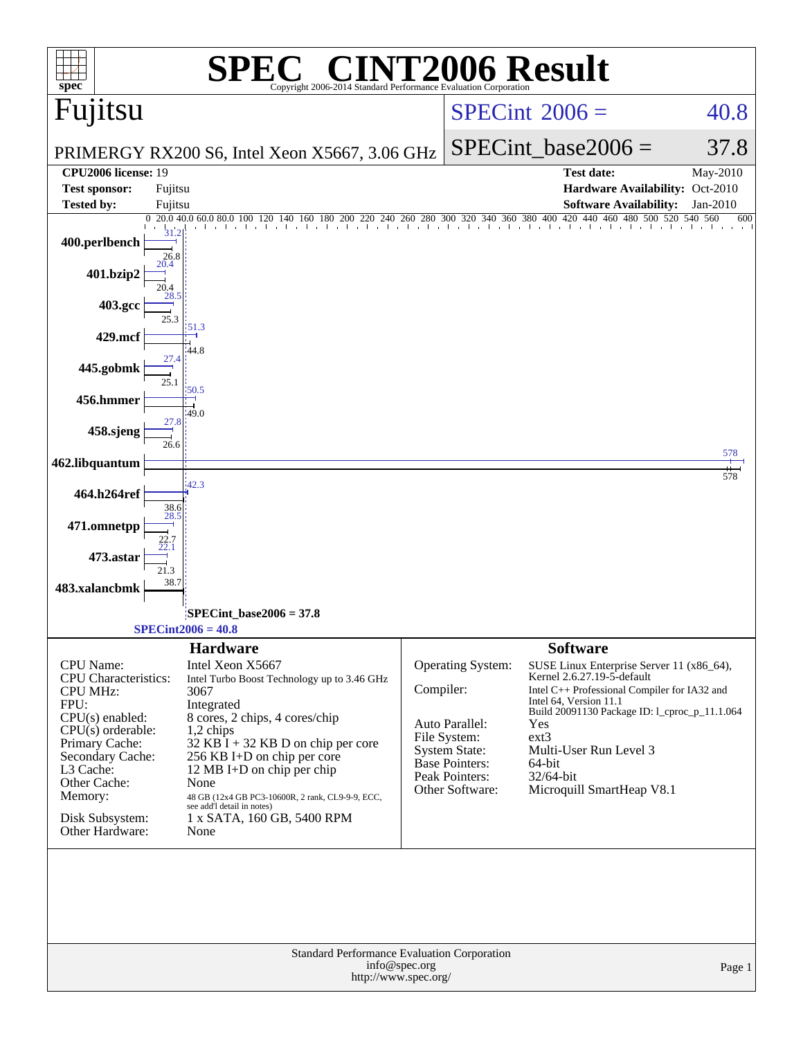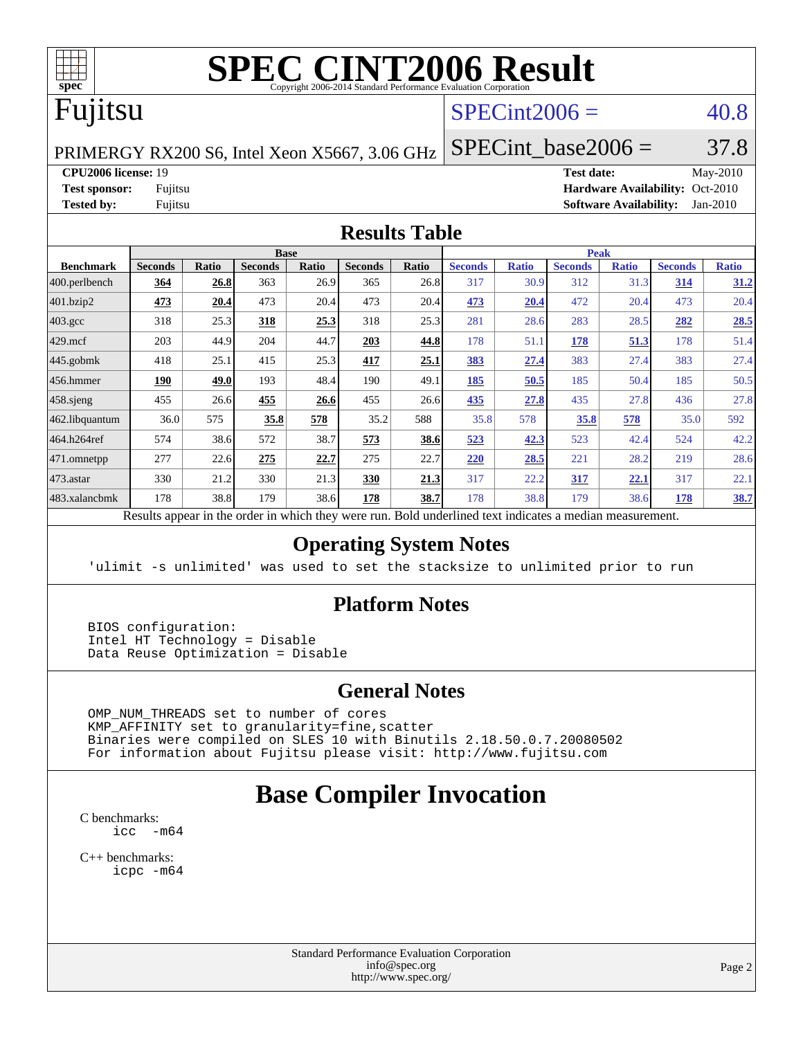

# **[SPEC CINT2006 Result](http://www.spec.org/auto/cpu2006/Docs/result-fields.html#SPECCINT2006Result)**

# Fujitsu

## $SPECint2006 = 40.8$  $SPECint2006 = 40.8$

PRIMERGY RX200 S6, Intel Xeon X5667, 3.06 GHz

**[CPU2006 license:](http://www.spec.org/auto/cpu2006/Docs/result-fields.html#CPU2006license)** 19 **[Test date:](http://www.spec.org/auto/cpu2006/Docs/result-fields.html#Testdate)** May-2010 **[Test sponsor:](http://www.spec.org/auto/cpu2006/Docs/result-fields.html#Testsponsor)** Fujitsu **[Hardware Availability:](http://www.spec.org/auto/cpu2006/Docs/result-fields.html#HardwareAvailability)** Oct-2010 **[Tested by:](http://www.spec.org/auto/cpu2006/Docs/result-fields.html#Testedby)** Fujitsu **[Software Availability:](http://www.spec.org/auto/cpu2006/Docs/result-fields.html#SoftwareAvailability)** Jan-2010

SPECint base2006 =  $37.8$ 

#### **[Results Table](http://www.spec.org/auto/cpu2006/Docs/result-fields.html#ResultsTable)**

| <b>Seconds</b> | Ratio | <b>Seconds</b> | Ratio | <b>Seconds</b> | Ratio        | <b>Seconds</b> | <b>Ratio</b> | <b>Seconds</b> | <b>Ratio</b> | <b>Seconds</b> | <b>Ratio</b> |
|----------------|-------|----------------|-------|----------------|--------------|----------------|--------------|----------------|--------------|----------------|--------------|
| <u>364</u>     | 26.8  | 363            |       | 365            | 26.8         | 317            | 30.9         | 312            | 31.3         | <u>314</u>     | 31.2         |
| 473            | 20.4  | 473            | 20.4  | 473            | 20.4         | 473            | 20.4         | 472            | 20.4         | 473            | 20.4         |
| 318            | 25.3  | 318            | 25.3  | 318            | 25.3         | 281            | 28.6         | 283            | 28.5         | 282            | 28.5         |
| 203            | 44.9  | 204            | 44.7  | 203            | 44.8         | 178            | 51.1         | 178            | 51.3         | 178            | 51.4         |
| 418            | 25.1  | 415            | 25.3  | 417            | 25.1         | 383            | 27.4         | 383            | 27.4         | 383            | 27.4         |
| 190            | 49.0  | 193            | 48.4  | 190            | 49.1         | 185            | 50.5         | 185            | 50.4         | 185            | 50.5         |
| 455            | 26.6  | 455            | 26.6  | 455            |              | <u>435</u>     | 27.8         | 435            | 27.8         | 436            | 27.8         |
| 36.0           | 575   | 35.8           | 578   | 35.2           | 588          | 35.8           | 578          | 35.8           | 578          | 35.0           | 592          |
| 574            | 38.6  | 572            | 38.7  | 573            | 38.6         | 523            | 42.3         | 523            | 42.4         | 524            | 42.2         |
| 277            | 22.6  | 275            | 22.7  | 275            | 22.7         | 220            | 28.5         | 221            | 28.2         | 219            | 28.6         |
| 330            | 21.2  | 330            | 21.3  | 330            | 21.3         | 317            | 22.2         | 317            | <u>22.1</u>  | 317            | 22.1         |
| 178            | 38.8  | 179            |       | 178            | 38.7         | 178            | 38.8         | 179            | 38.6         | 178            | <u>38.7</u>  |
|                |       | 2.111          |       | <b>Base</b>    | 26.9<br>38.6 |                | 26.6         |                |              | <b>Peak</b>    |              |

Results appear in the [order in which they were run.](http://www.spec.org/auto/cpu2006/Docs/result-fields.html#RunOrder) Bold underlined text [indicates a median measurement.](http://www.spec.org/auto/cpu2006/Docs/result-fields.html#Median)

#### **[Operating System Notes](http://www.spec.org/auto/cpu2006/Docs/result-fields.html#OperatingSystemNotes)**

'ulimit -s unlimited' was used to set the stacksize to unlimited prior to run

#### **[Platform Notes](http://www.spec.org/auto/cpu2006/Docs/result-fields.html#PlatformNotes)**

 BIOS configuration: Intel HT Technology = Disable Data Reuse Optimization = Disable

#### **[General Notes](http://www.spec.org/auto/cpu2006/Docs/result-fields.html#GeneralNotes)**

 OMP\_NUM\_THREADS set to number of cores KMP\_AFFINITY set to granularity=fine,scatter Binaries were compiled on SLES 10 with Binutils 2.18.50.0.7.20080502 For information about Fujitsu please visit: <http://www.fujitsu.com>

# **[Base Compiler Invocation](http://www.spec.org/auto/cpu2006/Docs/result-fields.html#BaseCompilerInvocation)**

[C benchmarks](http://www.spec.org/auto/cpu2006/Docs/result-fields.html#Cbenchmarks):  $\text{icc}$   $-\text{m64}$ 

[C++ benchmarks:](http://www.spec.org/auto/cpu2006/Docs/result-fields.html#CXXbenchmarks) [icpc -m64](http://www.spec.org/cpu2006/results/res2010q3/cpu2006-20100706-12327.flags.html#user_CXXbase_intel_icpc_64bit_fc66a5337ce925472a5c54ad6a0de310)

> Standard Performance Evaluation Corporation [info@spec.org](mailto:info@spec.org) <http://www.spec.org/>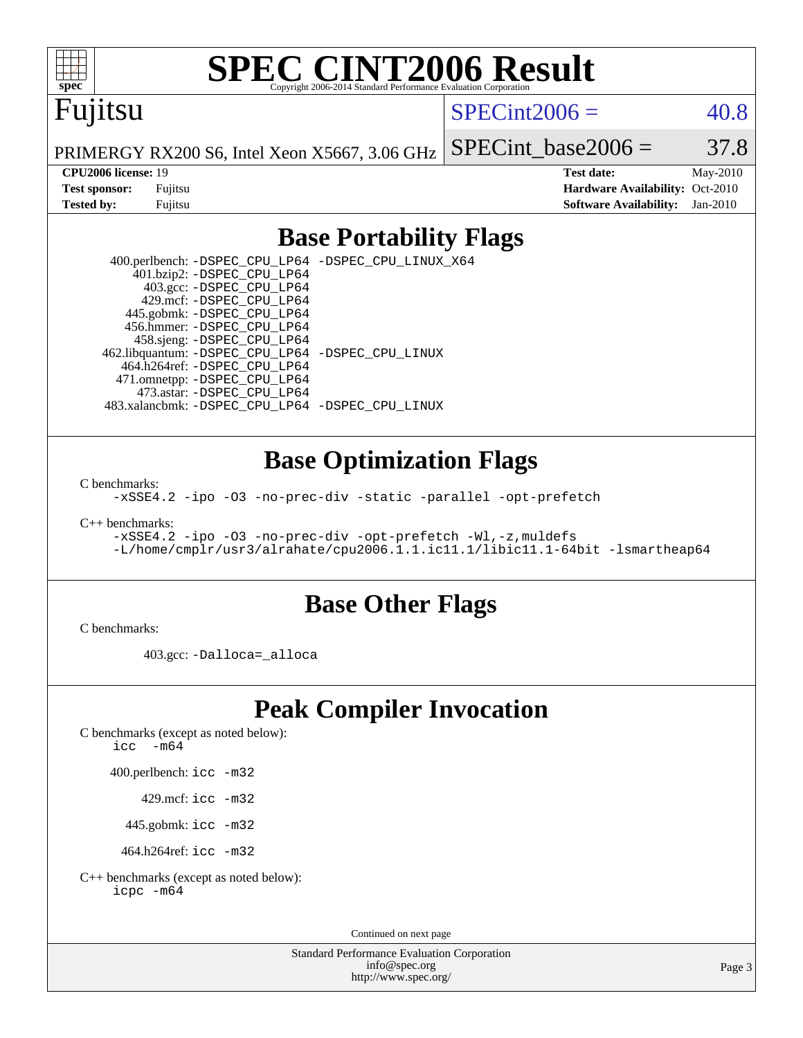

# **[SPEC CINT2006 Result](http://www.spec.org/auto/cpu2006/Docs/result-fields.html#SPECCINT2006Result)**

# Fujitsu

#### $SPECint2006 = 40.8$  $SPECint2006 = 40.8$

PRIMERGY RX200 S6, Intel Xeon X5667, 3.06 GHz

SPECint base2006 =  $37.8$ 

**[CPU2006 license:](http://www.spec.org/auto/cpu2006/Docs/result-fields.html#CPU2006license)** 19 **[Test date:](http://www.spec.org/auto/cpu2006/Docs/result-fields.html#Testdate)** May-2010 **[Test sponsor:](http://www.spec.org/auto/cpu2006/Docs/result-fields.html#Testsponsor)** Fujitsu **[Hardware Availability:](http://www.spec.org/auto/cpu2006/Docs/result-fields.html#HardwareAvailability)** Oct-2010 **[Tested by:](http://www.spec.org/auto/cpu2006/Docs/result-fields.html#Testedby)** Fujitsu **[Software Availability:](http://www.spec.org/auto/cpu2006/Docs/result-fields.html#SoftwareAvailability)** Jan-2010

### **[Base Portability Flags](http://www.spec.org/auto/cpu2006/Docs/result-fields.html#BasePortabilityFlags)**

 400.perlbench: [-DSPEC\\_CPU\\_LP64](http://www.spec.org/cpu2006/results/res2010q3/cpu2006-20100706-12327.flags.html#b400.perlbench_basePORTABILITY_DSPEC_CPU_LP64) [-DSPEC\\_CPU\\_LINUX\\_X64](http://www.spec.org/cpu2006/results/res2010q3/cpu2006-20100706-12327.flags.html#b400.perlbench_baseCPORTABILITY_DSPEC_CPU_LINUX_X64) 401.bzip2: [-DSPEC\\_CPU\\_LP64](http://www.spec.org/cpu2006/results/res2010q3/cpu2006-20100706-12327.flags.html#suite_basePORTABILITY401_bzip2_DSPEC_CPU_LP64) 403.gcc: [-DSPEC\\_CPU\\_LP64](http://www.spec.org/cpu2006/results/res2010q3/cpu2006-20100706-12327.flags.html#suite_basePORTABILITY403_gcc_DSPEC_CPU_LP64) 429.mcf: [-DSPEC\\_CPU\\_LP64](http://www.spec.org/cpu2006/results/res2010q3/cpu2006-20100706-12327.flags.html#suite_basePORTABILITY429_mcf_DSPEC_CPU_LP64) 445.gobmk: [-DSPEC\\_CPU\\_LP64](http://www.spec.org/cpu2006/results/res2010q3/cpu2006-20100706-12327.flags.html#suite_basePORTABILITY445_gobmk_DSPEC_CPU_LP64) 456.hmmer: [-DSPEC\\_CPU\\_LP64](http://www.spec.org/cpu2006/results/res2010q3/cpu2006-20100706-12327.flags.html#suite_basePORTABILITY456_hmmer_DSPEC_CPU_LP64) 458.sjeng: [-DSPEC\\_CPU\\_LP64](http://www.spec.org/cpu2006/results/res2010q3/cpu2006-20100706-12327.flags.html#suite_basePORTABILITY458_sjeng_DSPEC_CPU_LP64) 462.libquantum: [-DSPEC\\_CPU\\_LP64](http://www.spec.org/cpu2006/results/res2010q3/cpu2006-20100706-12327.flags.html#suite_basePORTABILITY462_libquantum_DSPEC_CPU_LP64) [-DSPEC\\_CPU\\_LINUX](http://www.spec.org/cpu2006/results/res2010q3/cpu2006-20100706-12327.flags.html#b462.libquantum_baseCPORTABILITY_DSPEC_CPU_LINUX) 464.h264ref: [-DSPEC\\_CPU\\_LP64](http://www.spec.org/cpu2006/results/res2010q3/cpu2006-20100706-12327.flags.html#suite_basePORTABILITY464_h264ref_DSPEC_CPU_LP64) 471.omnetpp: [-DSPEC\\_CPU\\_LP64](http://www.spec.org/cpu2006/results/res2010q3/cpu2006-20100706-12327.flags.html#suite_basePORTABILITY471_omnetpp_DSPEC_CPU_LP64) 473.astar: [-DSPEC\\_CPU\\_LP64](http://www.spec.org/cpu2006/results/res2010q3/cpu2006-20100706-12327.flags.html#suite_basePORTABILITY473_astar_DSPEC_CPU_LP64) 483.xalancbmk: [-DSPEC\\_CPU\\_LP64](http://www.spec.org/cpu2006/results/res2010q3/cpu2006-20100706-12327.flags.html#suite_basePORTABILITY483_xalancbmk_DSPEC_CPU_LP64) [-DSPEC\\_CPU\\_LINUX](http://www.spec.org/cpu2006/results/res2010q3/cpu2006-20100706-12327.flags.html#b483.xalancbmk_baseCXXPORTABILITY_DSPEC_CPU_LINUX)

### **[Base Optimization Flags](http://www.spec.org/auto/cpu2006/Docs/result-fields.html#BaseOptimizationFlags)**

[C benchmarks](http://www.spec.org/auto/cpu2006/Docs/result-fields.html#Cbenchmarks):

[-xSSE4.2](http://www.spec.org/cpu2006/results/res2010q3/cpu2006-20100706-12327.flags.html#user_CCbase_f-xSSE42_f91528193cf0b216347adb8b939d4107) [-ipo](http://www.spec.org/cpu2006/results/res2010q3/cpu2006-20100706-12327.flags.html#user_CCbase_f-ipo) [-O3](http://www.spec.org/cpu2006/results/res2010q3/cpu2006-20100706-12327.flags.html#user_CCbase_f-O3) [-no-prec-div](http://www.spec.org/cpu2006/results/res2010q3/cpu2006-20100706-12327.flags.html#user_CCbase_f-no-prec-div) [-static](http://www.spec.org/cpu2006/results/res2010q3/cpu2006-20100706-12327.flags.html#user_CCbase_f-static) [-parallel](http://www.spec.org/cpu2006/results/res2010q3/cpu2006-20100706-12327.flags.html#user_CCbase_f-parallel) [-opt-prefetch](http://www.spec.org/cpu2006/results/res2010q3/cpu2006-20100706-12327.flags.html#user_CCbase_f-opt-prefetch)

[C++ benchmarks:](http://www.spec.org/auto/cpu2006/Docs/result-fields.html#CXXbenchmarks)

[-xSSE4.2](http://www.spec.org/cpu2006/results/res2010q3/cpu2006-20100706-12327.flags.html#user_CXXbase_f-xSSE42_f91528193cf0b216347adb8b939d4107) [-ipo](http://www.spec.org/cpu2006/results/res2010q3/cpu2006-20100706-12327.flags.html#user_CXXbase_f-ipo) [-O3](http://www.spec.org/cpu2006/results/res2010q3/cpu2006-20100706-12327.flags.html#user_CXXbase_f-O3) [-no-prec-div](http://www.spec.org/cpu2006/results/res2010q3/cpu2006-20100706-12327.flags.html#user_CXXbase_f-no-prec-div) [-opt-prefetch](http://www.spec.org/cpu2006/results/res2010q3/cpu2006-20100706-12327.flags.html#user_CXXbase_f-opt-prefetch) [-Wl,-z,muldefs](http://www.spec.org/cpu2006/results/res2010q3/cpu2006-20100706-12327.flags.html#user_CXXbase_link_force_multiple1_74079c344b956b9658436fd1b6dd3a8a) [-L/home/cmplr/usr3/alrahate/cpu2006.1.1.ic11.1/libic11.1-64bit -lsmartheap64](http://www.spec.org/cpu2006/results/res2010q3/cpu2006-20100706-12327.flags.html#user_CXXbase_SmartHeap64_e2306cda84805d1ab360117a79ff779c)

#### **[Base Other Flags](http://www.spec.org/auto/cpu2006/Docs/result-fields.html#BaseOtherFlags)**

[C benchmarks](http://www.spec.org/auto/cpu2006/Docs/result-fields.html#Cbenchmarks):

403.gcc: [-Dalloca=\\_alloca](http://www.spec.org/cpu2006/results/res2010q3/cpu2006-20100706-12327.flags.html#b403.gcc_baseEXTRA_CFLAGS_Dalloca_be3056838c12de2578596ca5467af7f3)

# **[Peak Compiler Invocation](http://www.spec.org/auto/cpu2006/Docs/result-fields.html#PeakCompilerInvocation)**

[C benchmarks \(except as noted below\)](http://www.spec.org/auto/cpu2006/Docs/result-fields.html#Cbenchmarksexceptasnotedbelow):

icc  $-m64$ 

400.perlbench: [icc -m32](http://www.spec.org/cpu2006/results/res2010q3/cpu2006-20100706-12327.flags.html#user_peakCCLD400_perlbench_intel_icc_32bit_a6a621f8d50482236b970c6ac5f55f93)

429.mcf: [icc -m32](http://www.spec.org/cpu2006/results/res2010q3/cpu2006-20100706-12327.flags.html#user_peakCCLD429_mcf_intel_icc_32bit_a6a621f8d50482236b970c6ac5f55f93)

445.gobmk: [icc -m32](http://www.spec.org/cpu2006/results/res2010q3/cpu2006-20100706-12327.flags.html#user_peakCCLD445_gobmk_intel_icc_32bit_a6a621f8d50482236b970c6ac5f55f93)

464.h264ref: [icc -m32](http://www.spec.org/cpu2006/results/res2010q3/cpu2006-20100706-12327.flags.html#user_peakCCLD464_h264ref_intel_icc_32bit_a6a621f8d50482236b970c6ac5f55f93)

[C++ benchmarks \(except as noted below\):](http://www.spec.org/auto/cpu2006/Docs/result-fields.html#CXXbenchmarksexceptasnotedbelow) [icpc -m64](http://www.spec.org/cpu2006/results/res2010q3/cpu2006-20100706-12327.flags.html#user_CXXpeak_intel_icpc_64bit_fc66a5337ce925472a5c54ad6a0de310)

Continued on next page

Standard Performance Evaluation Corporation [info@spec.org](mailto:info@spec.org) <http://www.spec.org/>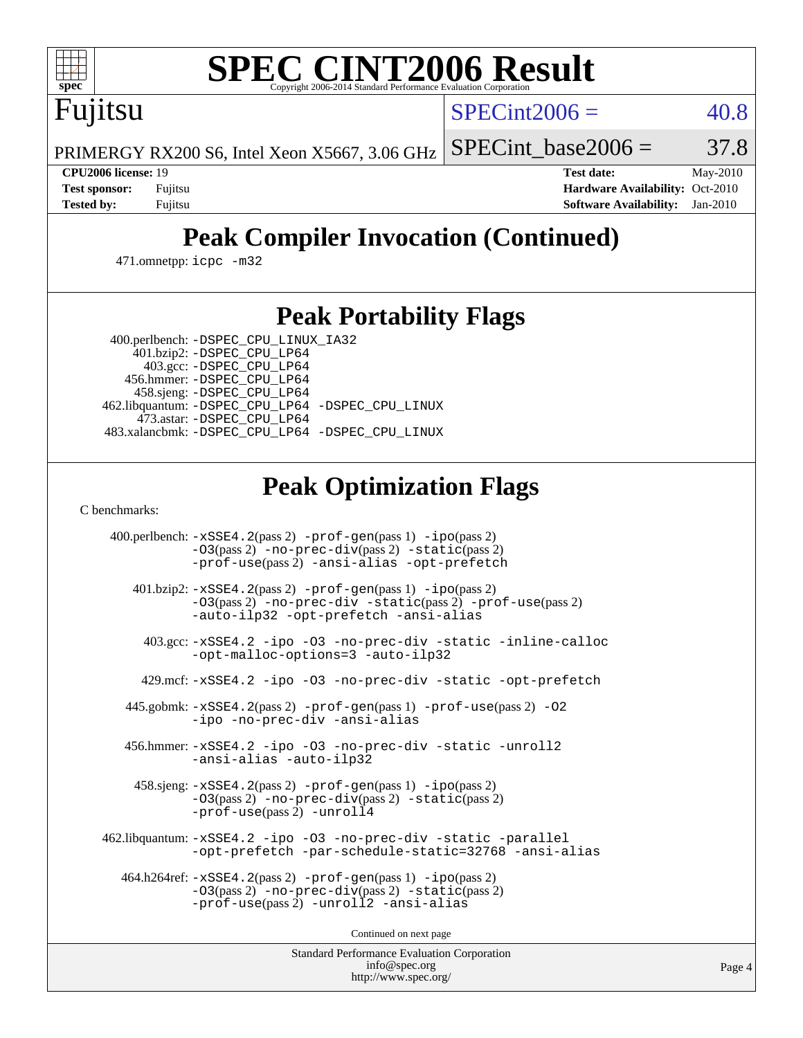

# **[SPEC CINT2006 Result](http://www.spec.org/auto/cpu2006/Docs/result-fields.html#SPECCINT2006Result)**

 $SPECint2006 = 40.8$  $SPECint2006 = 40.8$ 

PRIMERGY RX200 S6, Intel Xeon X5667, 3.06 GHz SPECint base2006 =  $37.8$ 

Fujitsu

**[CPU2006 license:](http://www.spec.org/auto/cpu2006/Docs/result-fields.html#CPU2006license)** 19 **[Test date:](http://www.spec.org/auto/cpu2006/Docs/result-fields.html#Testdate)** May-2010 **[Test sponsor:](http://www.spec.org/auto/cpu2006/Docs/result-fields.html#Testsponsor)** Fujitsu **[Hardware Availability:](http://www.spec.org/auto/cpu2006/Docs/result-fields.html#HardwareAvailability)** Oct-2010 **[Tested by:](http://www.spec.org/auto/cpu2006/Docs/result-fields.html#Testedby)** Fujitsu **[Software Availability:](http://www.spec.org/auto/cpu2006/Docs/result-fields.html#SoftwareAvailability)** Jan-2010

# **[Peak Compiler Invocation \(Continued\)](http://www.spec.org/auto/cpu2006/Docs/result-fields.html#PeakCompilerInvocation)**

471.omnetpp: [icpc -m32](http://www.spec.org/cpu2006/results/res2010q3/cpu2006-20100706-12327.flags.html#user_peakCXXLD471_omnetpp_intel_icpc_32bit_4e5a5ef1a53fd332b3c49e69c3330699)

## **[Peak Portability Flags](http://www.spec.org/auto/cpu2006/Docs/result-fields.html#PeakPortabilityFlags)**

400.perlbench: [-DSPEC\\_CPU\\_LINUX\\_IA32](http://www.spec.org/cpu2006/results/res2010q3/cpu2006-20100706-12327.flags.html#b400.perlbench_peakCPORTABILITY_DSPEC_CPU_LINUX_IA32)

 401.bzip2: [-DSPEC\\_CPU\\_LP64](http://www.spec.org/cpu2006/results/res2010q3/cpu2006-20100706-12327.flags.html#suite_peakPORTABILITY401_bzip2_DSPEC_CPU_LP64) 403.gcc: [-DSPEC\\_CPU\\_LP64](http://www.spec.org/cpu2006/results/res2010q3/cpu2006-20100706-12327.flags.html#suite_peakPORTABILITY403_gcc_DSPEC_CPU_LP64) 456.hmmer: [-DSPEC\\_CPU\\_LP64](http://www.spec.org/cpu2006/results/res2010q3/cpu2006-20100706-12327.flags.html#suite_peakPORTABILITY456_hmmer_DSPEC_CPU_LP64) 458.sjeng: [-DSPEC\\_CPU\\_LP64](http://www.spec.org/cpu2006/results/res2010q3/cpu2006-20100706-12327.flags.html#suite_peakPORTABILITY458_sjeng_DSPEC_CPU_LP64) 462.libquantum: [-DSPEC\\_CPU\\_LP64](http://www.spec.org/cpu2006/results/res2010q3/cpu2006-20100706-12327.flags.html#suite_peakPORTABILITY462_libquantum_DSPEC_CPU_LP64) [-DSPEC\\_CPU\\_LINUX](http://www.spec.org/cpu2006/results/res2010q3/cpu2006-20100706-12327.flags.html#b462.libquantum_peakCPORTABILITY_DSPEC_CPU_LINUX) 473.astar: [-DSPEC\\_CPU\\_LP64](http://www.spec.org/cpu2006/results/res2010q3/cpu2006-20100706-12327.flags.html#suite_peakPORTABILITY473_astar_DSPEC_CPU_LP64) 483.xalancbmk: [-DSPEC\\_CPU\\_LP64](http://www.spec.org/cpu2006/results/res2010q3/cpu2006-20100706-12327.flags.html#suite_peakPORTABILITY483_xalancbmk_DSPEC_CPU_LP64) [-DSPEC\\_CPU\\_LINUX](http://www.spec.org/cpu2006/results/res2010q3/cpu2006-20100706-12327.flags.html#b483.xalancbmk_peakCXXPORTABILITY_DSPEC_CPU_LINUX)

# **[Peak Optimization Flags](http://www.spec.org/auto/cpu2006/Docs/result-fields.html#PeakOptimizationFlags)**

[C benchmarks](http://www.spec.org/auto/cpu2006/Docs/result-fields.html#Cbenchmarks):

 400.perlbench: [-xSSE4.2](http://www.spec.org/cpu2006/results/res2010q3/cpu2006-20100706-12327.flags.html#user_peakPASS2_CFLAGSPASS2_LDCFLAGS400_perlbench_f-xSSE42_f91528193cf0b216347adb8b939d4107)(pass 2) [-prof-gen](http://www.spec.org/cpu2006/results/res2010q3/cpu2006-20100706-12327.flags.html#user_peakPASS1_CFLAGSPASS1_LDCFLAGS400_perlbench_prof_gen_e43856698f6ca7b7e442dfd80e94a8fc)(pass 1) [-ipo](http://www.spec.org/cpu2006/results/res2010q3/cpu2006-20100706-12327.flags.html#user_peakPASS2_CFLAGSPASS2_LDCFLAGS400_perlbench_f-ipo)(pass 2) [-O3](http://www.spec.org/cpu2006/results/res2010q3/cpu2006-20100706-12327.flags.html#user_peakPASS2_CFLAGSPASS2_LDCFLAGS400_perlbench_f-O3)(pass 2) [-no-prec-div](http://www.spec.org/cpu2006/results/res2010q3/cpu2006-20100706-12327.flags.html#user_peakPASS2_CFLAGSPASS2_LDCFLAGS400_perlbench_f-no-prec-div)(pass 2) [-static](http://www.spec.org/cpu2006/results/res2010q3/cpu2006-20100706-12327.flags.html#user_peakPASS2_CFLAGSPASS2_LDCFLAGS400_perlbench_f-static)(pass 2) [-prof-use](http://www.spec.org/cpu2006/results/res2010q3/cpu2006-20100706-12327.flags.html#user_peakPASS2_CFLAGSPASS2_LDCFLAGS400_perlbench_prof_use_bccf7792157ff70d64e32fe3e1250b55)(pass 2) [-ansi-alias](http://www.spec.org/cpu2006/results/res2010q3/cpu2006-20100706-12327.flags.html#user_peakCOPTIMIZE400_perlbench_f-ansi-alias) [-opt-prefetch](http://www.spec.org/cpu2006/results/res2010q3/cpu2006-20100706-12327.flags.html#user_peakCOPTIMIZE400_perlbench_f-opt-prefetch) 401.bzip2: [-xSSE4.2](http://www.spec.org/cpu2006/results/res2010q3/cpu2006-20100706-12327.flags.html#user_peakPASS2_CFLAGSPASS2_LDCFLAGS401_bzip2_f-xSSE42_f91528193cf0b216347adb8b939d4107)(pass 2) [-prof-gen](http://www.spec.org/cpu2006/results/res2010q3/cpu2006-20100706-12327.flags.html#user_peakPASS1_CFLAGSPASS1_LDCFLAGS401_bzip2_prof_gen_e43856698f6ca7b7e442dfd80e94a8fc)(pass 1) [-ipo](http://www.spec.org/cpu2006/results/res2010q3/cpu2006-20100706-12327.flags.html#user_peakPASS2_CFLAGSPASS2_LDCFLAGS401_bzip2_f-ipo)(pass 2) [-O3](http://www.spec.org/cpu2006/results/res2010q3/cpu2006-20100706-12327.flags.html#user_peakPASS2_CFLAGSPASS2_LDCFLAGS401_bzip2_f-O3)(pass 2) [-no-prec-div](http://www.spec.org/cpu2006/results/res2010q3/cpu2006-20100706-12327.flags.html#user_peakCOPTIMIZEPASS2_CFLAGSPASS2_LDCFLAGS401_bzip2_f-no-prec-div) [-static](http://www.spec.org/cpu2006/results/res2010q3/cpu2006-20100706-12327.flags.html#user_peakPASS2_CFLAGSPASS2_LDCFLAGS401_bzip2_f-static)(pass 2) [-prof-use](http://www.spec.org/cpu2006/results/res2010q3/cpu2006-20100706-12327.flags.html#user_peakPASS2_CFLAGSPASS2_LDCFLAGS401_bzip2_prof_use_bccf7792157ff70d64e32fe3e1250b55)(pass 2) [-auto-ilp32](http://www.spec.org/cpu2006/results/res2010q3/cpu2006-20100706-12327.flags.html#user_peakCOPTIMIZE401_bzip2_f-auto-ilp32) [-opt-prefetch](http://www.spec.org/cpu2006/results/res2010q3/cpu2006-20100706-12327.flags.html#user_peakCOPTIMIZE401_bzip2_f-opt-prefetch) [-ansi-alias](http://www.spec.org/cpu2006/results/res2010q3/cpu2006-20100706-12327.flags.html#user_peakCOPTIMIZE401_bzip2_f-ansi-alias) 403.gcc: [-xSSE4.2](http://www.spec.org/cpu2006/results/res2010q3/cpu2006-20100706-12327.flags.html#user_peakCOPTIMIZE403_gcc_f-xSSE42_f91528193cf0b216347adb8b939d4107) [-ipo](http://www.spec.org/cpu2006/results/res2010q3/cpu2006-20100706-12327.flags.html#user_peakCOPTIMIZE403_gcc_f-ipo) [-O3](http://www.spec.org/cpu2006/results/res2010q3/cpu2006-20100706-12327.flags.html#user_peakCOPTIMIZE403_gcc_f-O3) [-no-prec-div](http://www.spec.org/cpu2006/results/res2010q3/cpu2006-20100706-12327.flags.html#user_peakCOPTIMIZE403_gcc_f-no-prec-div) [-static](http://www.spec.org/cpu2006/results/res2010q3/cpu2006-20100706-12327.flags.html#user_peakCOPTIMIZE403_gcc_f-static) [-inline-calloc](http://www.spec.org/cpu2006/results/res2010q3/cpu2006-20100706-12327.flags.html#user_peakCOPTIMIZE403_gcc_f-inline-calloc) [-opt-malloc-options=3](http://www.spec.org/cpu2006/results/res2010q3/cpu2006-20100706-12327.flags.html#user_peakCOPTIMIZE403_gcc_f-opt-malloc-options_13ab9b803cf986b4ee62f0a5998c2238) [-auto-ilp32](http://www.spec.org/cpu2006/results/res2010q3/cpu2006-20100706-12327.flags.html#user_peakCOPTIMIZE403_gcc_f-auto-ilp32) 429.mcf: [-xSSE4.2](http://www.spec.org/cpu2006/results/res2010q3/cpu2006-20100706-12327.flags.html#user_peakCOPTIMIZE429_mcf_f-xSSE42_f91528193cf0b216347adb8b939d4107) [-ipo](http://www.spec.org/cpu2006/results/res2010q3/cpu2006-20100706-12327.flags.html#user_peakCOPTIMIZE429_mcf_f-ipo) [-O3](http://www.spec.org/cpu2006/results/res2010q3/cpu2006-20100706-12327.flags.html#user_peakCOPTIMIZE429_mcf_f-O3) [-no-prec-div](http://www.spec.org/cpu2006/results/res2010q3/cpu2006-20100706-12327.flags.html#user_peakCOPTIMIZE429_mcf_f-no-prec-div) [-static](http://www.spec.org/cpu2006/results/res2010q3/cpu2006-20100706-12327.flags.html#user_peakCOPTIMIZE429_mcf_f-static) [-opt-prefetch](http://www.spec.org/cpu2006/results/res2010q3/cpu2006-20100706-12327.flags.html#user_peakCOPTIMIZE429_mcf_f-opt-prefetch) 445.gobmk: [-xSSE4.2](http://www.spec.org/cpu2006/results/res2010q3/cpu2006-20100706-12327.flags.html#user_peakPASS2_CFLAGSPASS2_LDCFLAGS445_gobmk_f-xSSE42_f91528193cf0b216347adb8b939d4107)(pass 2) [-prof-gen](http://www.spec.org/cpu2006/results/res2010q3/cpu2006-20100706-12327.flags.html#user_peakPASS1_CFLAGSPASS1_LDCFLAGS445_gobmk_prof_gen_e43856698f6ca7b7e442dfd80e94a8fc)(pass 1) [-prof-use](http://www.spec.org/cpu2006/results/res2010q3/cpu2006-20100706-12327.flags.html#user_peakPASS2_CFLAGSPASS2_LDCFLAGS445_gobmk_prof_use_bccf7792157ff70d64e32fe3e1250b55)(pass 2) [-O2](http://www.spec.org/cpu2006/results/res2010q3/cpu2006-20100706-12327.flags.html#user_peakCOPTIMIZE445_gobmk_f-O2) [-ipo](http://www.spec.org/cpu2006/results/res2010q3/cpu2006-20100706-12327.flags.html#user_peakCOPTIMIZE445_gobmk_f-ipo) [-no-prec-div](http://www.spec.org/cpu2006/results/res2010q3/cpu2006-20100706-12327.flags.html#user_peakCOPTIMIZE445_gobmk_f-no-prec-div) [-ansi-alias](http://www.spec.org/cpu2006/results/res2010q3/cpu2006-20100706-12327.flags.html#user_peakCOPTIMIZE445_gobmk_f-ansi-alias) 456.hmmer: [-xSSE4.2](http://www.spec.org/cpu2006/results/res2010q3/cpu2006-20100706-12327.flags.html#user_peakCOPTIMIZE456_hmmer_f-xSSE42_f91528193cf0b216347adb8b939d4107) [-ipo](http://www.spec.org/cpu2006/results/res2010q3/cpu2006-20100706-12327.flags.html#user_peakCOPTIMIZE456_hmmer_f-ipo) [-O3](http://www.spec.org/cpu2006/results/res2010q3/cpu2006-20100706-12327.flags.html#user_peakCOPTIMIZE456_hmmer_f-O3) [-no-prec-div](http://www.spec.org/cpu2006/results/res2010q3/cpu2006-20100706-12327.flags.html#user_peakCOPTIMIZE456_hmmer_f-no-prec-div) [-static](http://www.spec.org/cpu2006/results/res2010q3/cpu2006-20100706-12327.flags.html#user_peakCOPTIMIZE456_hmmer_f-static) [-unroll2](http://www.spec.org/cpu2006/results/res2010q3/cpu2006-20100706-12327.flags.html#user_peakCOPTIMIZE456_hmmer_f-unroll_784dae83bebfb236979b41d2422d7ec2) [-ansi-alias](http://www.spec.org/cpu2006/results/res2010q3/cpu2006-20100706-12327.flags.html#user_peakCOPTIMIZE456_hmmer_f-ansi-alias) [-auto-ilp32](http://www.spec.org/cpu2006/results/res2010q3/cpu2006-20100706-12327.flags.html#user_peakCOPTIMIZE456_hmmer_f-auto-ilp32) 458.sjeng: [-xSSE4.2](http://www.spec.org/cpu2006/results/res2010q3/cpu2006-20100706-12327.flags.html#user_peakPASS2_CFLAGSPASS2_LDCFLAGS458_sjeng_f-xSSE42_f91528193cf0b216347adb8b939d4107)(pass 2) [-prof-gen](http://www.spec.org/cpu2006/results/res2010q3/cpu2006-20100706-12327.flags.html#user_peakPASS1_CFLAGSPASS1_LDCFLAGS458_sjeng_prof_gen_e43856698f6ca7b7e442dfd80e94a8fc)(pass 1) [-ipo](http://www.spec.org/cpu2006/results/res2010q3/cpu2006-20100706-12327.flags.html#user_peakPASS2_CFLAGSPASS2_LDCFLAGS458_sjeng_f-ipo)(pass 2) [-O3](http://www.spec.org/cpu2006/results/res2010q3/cpu2006-20100706-12327.flags.html#user_peakPASS2_CFLAGSPASS2_LDCFLAGS458_sjeng_f-O3)(pass 2) [-no-prec-div](http://www.spec.org/cpu2006/results/res2010q3/cpu2006-20100706-12327.flags.html#user_peakPASS2_CFLAGSPASS2_LDCFLAGS458_sjeng_f-no-prec-div)(pass 2) [-static](http://www.spec.org/cpu2006/results/res2010q3/cpu2006-20100706-12327.flags.html#user_peakPASS2_CFLAGSPASS2_LDCFLAGS458_sjeng_f-static)(pass 2) [-prof-use](http://www.spec.org/cpu2006/results/res2010q3/cpu2006-20100706-12327.flags.html#user_peakPASS2_CFLAGSPASS2_LDCFLAGS458_sjeng_prof_use_bccf7792157ff70d64e32fe3e1250b55)(pass 2) [-unroll4](http://www.spec.org/cpu2006/results/res2010q3/cpu2006-20100706-12327.flags.html#user_peakCOPTIMIZE458_sjeng_f-unroll_4e5e4ed65b7fd20bdcd365bec371b81f) 462.libquantum: [-xSSE4.2](http://www.spec.org/cpu2006/results/res2010q3/cpu2006-20100706-12327.flags.html#user_peakCOPTIMIZE462_libquantum_f-xSSE42_f91528193cf0b216347adb8b939d4107) [-ipo](http://www.spec.org/cpu2006/results/res2010q3/cpu2006-20100706-12327.flags.html#user_peakCOPTIMIZE462_libquantum_f-ipo) [-O3](http://www.spec.org/cpu2006/results/res2010q3/cpu2006-20100706-12327.flags.html#user_peakCOPTIMIZE462_libquantum_f-O3) [-no-prec-div](http://www.spec.org/cpu2006/results/res2010q3/cpu2006-20100706-12327.flags.html#user_peakCOPTIMIZE462_libquantum_f-no-prec-div) [-static](http://www.spec.org/cpu2006/results/res2010q3/cpu2006-20100706-12327.flags.html#user_peakCOPTIMIZE462_libquantum_f-static) [-parallel](http://www.spec.org/cpu2006/results/res2010q3/cpu2006-20100706-12327.flags.html#user_peakCOPTIMIZE462_libquantum_f-parallel) [-opt-prefetch](http://www.spec.org/cpu2006/results/res2010q3/cpu2006-20100706-12327.flags.html#user_peakCOPTIMIZE462_libquantum_f-opt-prefetch) [-par-schedule-static=32768](http://www.spec.org/cpu2006/results/res2010q3/cpu2006-20100706-12327.flags.html#user_peakCOPTIMIZE462_libquantum_f-par-schedule_9386bcd99ba64e99ee01d1aafefddd14) [-ansi-alias](http://www.spec.org/cpu2006/results/res2010q3/cpu2006-20100706-12327.flags.html#user_peakCOPTIMIZE462_libquantum_f-ansi-alias) 464.h264ref: [-xSSE4.2](http://www.spec.org/cpu2006/results/res2010q3/cpu2006-20100706-12327.flags.html#user_peakPASS2_CFLAGSPASS2_LDCFLAGS464_h264ref_f-xSSE42_f91528193cf0b216347adb8b939d4107)(pass 2) [-prof-gen](http://www.spec.org/cpu2006/results/res2010q3/cpu2006-20100706-12327.flags.html#user_peakPASS1_CFLAGSPASS1_LDCFLAGS464_h264ref_prof_gen_e43856698f6ca7b7e442dfd80e94a8fc)(pass 1) [-ipo](http://www.spec.org/cpu2006/results/res2010q3/cpu2006-20100706-12327.flags.html#user_peakPASS2_CFLAGSPASS2_LDCFLAGS464_h264ref_f-ipo)(pass 2) [-O3](http://www.spec.org/cpu2006/results/res2010q3/cpu2006-20100706-12327.flags.html#user_peakPASS2_CFLAGSPASS2_LDCFLAGS464_h264ref_f-O3)(pass 2) [-no-prec-div](http://www.spec.org/cpu2006/results/res2010q3/cpu2006-20100706-12327.flags.html#user_peakPASS2_CFLAGSPASS2_LDCFLAGS464_h264ref_f-no-prec-div)(pass 2) [-static](http://www.spec.org/cpu2006/results/res2010q3/cpu2006-20100706-12327.flags.html#user_peakPASS2_CFLAGSPASS2_LDCFLAGS464_h264ref_f-static)(pass 2) [-prof-use](http://www.spec.org/cpu2006/results/res2010q3/cpu2006-20100706-12327.flags.html#user_peakPASS2_CFLAGSPASS2_LDCFLAGS464_h264ref_prof_use_bccf7792157ff70d64e32fe3e1250b55)(pass 2) [-unroll2](http://www.spec.org/cpu2006/results/res2010q3/cpu2006-20100706-12327.flags.html#user_peakCOPTIMIZE464_h264ref_f-unroll_784dae83bebfb236979b41d2422d7ec2) [-ansi-alias](http://www.spec.org/cpu2006/results/res2010q3/cpu2006-20100706-12327.flags.html#user_peakCOPTIMIZE464_h264ref_f-ansi-alias)

Continued on next page

Standard Performance Evaluation Corporation [info@spec.org](mailto:info@spec.org) <http://www.spec.org/>